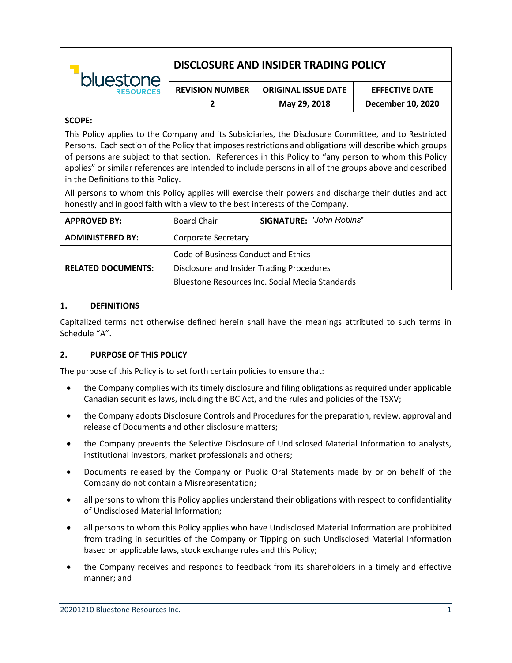| bluestone<br><b>RESOURCES</b> | DISCLOSURE AND INSIDER TRADING POLICY |                            |                       |  |
|-------------------------------|---------------------------------------|----------------------------|-----------------------|--|
|                               | <b>REVISION NUMBER</b>                | <b>ORIGINAL ISSUE DATE</b> | <b>EFFECTIVE DATE</b> |  |
|                               |                                       | May 29, 2018               | December 10, 2020     |  |

#### **SCOPE:**

This Policy applies to the Company and its Subsidiaries, the Disclosure Committee, and to Restricted Persons. Each section of the Policy that imposes restrictions and obligations will describe which groups of persons are subject to that section. References in this Policy to "any person to whom this Policy applies" or similar references are intended to include persons in all of the groups above and described in the Definitions to this Policy.

All persons to whom this Policy applies will exercise their powers and discharge their duties and act honestly and in good faith with a view to the best interests of the Company.

| <b>APPROVED BY:</b>       | <b>Board Chair</b>                              | <b>SIGNATURE: "John Robins"</b> |  |
|---------------------------|-------------------------------------------------|---------------------------------|--|
| <b>ADMINISTERED BY:</b>   | Corporate Secretary                             |                                 |  |
|                           | Code of Business Conduct and Ethics             |                                 |  |
| <b>RELATED DOCUMENTS:</b> | Disclosure and Insider Trading Procedures       |                                 |  |
|                           | Bluestone Resources Inc. Social Media Standards |                                 |  |

#### **1. DEFINITIONS**

Capitalized terms not otherwise defined herein shall have the meanings attributed to such terms in Schedule "A".

## **2. PURPOSE OF THIS POLICY**

The purpose of this Policy is to set forth certain policies to ensure that:

- the Company complies with its timely disclosure and filing obligations as required under applicable Canadian securities laws, including the BC Act, and the rules and policies of the TSXV;
- the Company adopts Disclosure Controls and Procedures for the preparation, review, approval and release of Documents and other disclosure matters;
- the Company prevents the Selective Disclosure of Undisclosed Material Information to analysts, institutional investors, market professionals and others;
- Documents released by the Company or Public Oral Statements made by or on behalf of the Company do not contain a Misrepresentation;
- all persons to whom this Policy applies understand their obligations with respect to confidentiality of Undisclosed Material Information;
- all persons to whom this Policy applies who have Undisclosed Material Information are prohibited from trading in securities of the Company or Tipping on such Undisclosed Material Information based on applicable laws, stock exchange rules and this Policy;
- the Company receives and responds to feedback from its shareholders in a timely and effective manner; and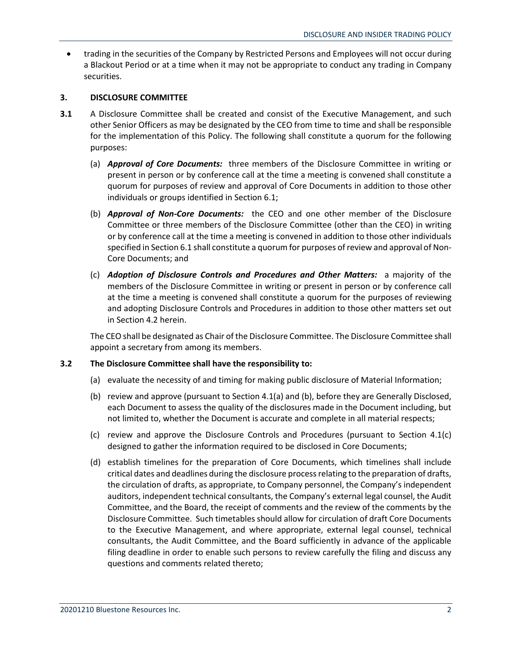• trading in the securities of the Company by Restricted Persons and Employees will not occur during a Blackout Period or at a time when it may not be appropriate to conduct any trading in Company securities.

## **3. DISCLOSURE COMMITTEE**

- **3.1** A Disclosure Committee shall be created and consist of the Executive Management, and such other Senior Officers as may be designated by the CEO from time to time and shall be responsible for the implementation of this Policy. The following shall constitute a quorum for the following purposes:
	- (a) *Approval of Core Documents:* three members of the Disclosure Committee in writing or present in person or by conference call at the time a meeting is convened shall constitute a quorum for purposes of review and approval of Core Documents in addition to those other individuals or groups identified in Section 6.1;
	- (b) *Approval of Non-Core Documents:* the CEO and one other member of the Disclosure Committee or three members of the Disclosure Committee (other than the CEO) in writing or by conference call at the time a meeting is convened in addition to those other individuals specified in Section 6.1 shall constitute a quorum for purposes of review and approval of Non-Core Documents; and
	- (c) *Adoption of Disclosure Controls and Procedures and Other Matters:* a majority of the members of the Disclosure Committee in writing or present in person or by conference call at the time a meeting is convened shall constitute a quorum for the purposes of reviewing and adopting Disclosure Controls and Procedures in addition to those other matters set out in Section 4.2 herein.

The CEO shall be designated as Chair of the Disclosure Committee. The Disclosure Committee shall appoint a secretary from among its members.

## **3.2 The Disclosure Committee shall have the responsibility to:**

- (a) evaluate the necessity of and timing for making public disclosure of Material Information;
- (b) review and approve (pursuant to Section 4.1(a) and (b), before they are Generally Disclosed, each Document to assess the quality of the disclosures made in the Document including, but not limited to, whether the Document is accurate and complete in all material respects;
- (c) review and approve the Disclosure Controls and Procedures (pursuant to Section 4.1(c) designed to gather the information required to be disclosed in Core Documents;
- (d) establish timelines for the preparation of Core Documents, which timelines shall include critical dates and deadlines during the disclosure process relating to the preparation of drafts, the circulation of drafts, as appropriate, to Company personnel, the Company's independent auditors, independent technical consultants, the Company's external legal counsel, the Audit Committee, and the Board, the receipt of comments and the review of the comments by the Disclosure Committee. Such timetables should allow for circulation of draft Core Documents to the Executive Management, and where appropriate, external legal counsel, technical consultants, the Audit Committee, and the Board sufficiently in advance of the applicable filing deadline in order to enable such persons to review carefully the filing and discuss any questions and comments related thereto;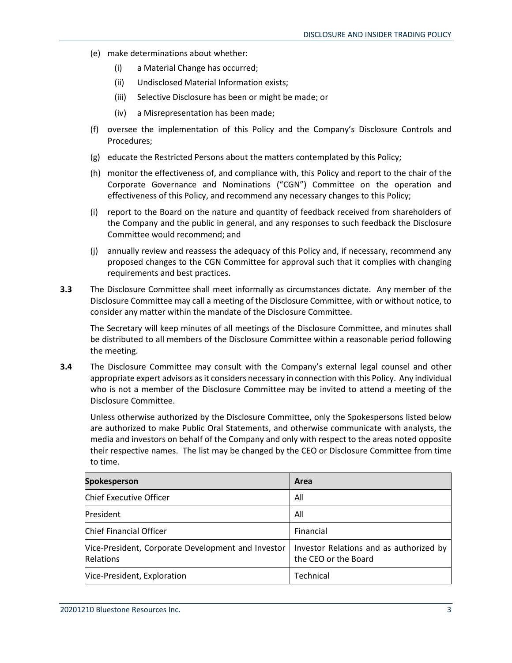- (e) make determinations about whether:
	- (i) a Material Change has occurred;
	- (ii) Undisclosed Material Information exists;
	- (iii) Selective Disclosure has been or might be made; or
	- (iv) a Misrepresentation has been made;
- (f) oversee the implementation of this Policy and the Company's Disclosure Controls and Procedures;
- (g) educate the Restricted Persons about the matters contemplated by this Policy;
- (h) monitor the effectiveness of, and compliance with, this Policy and report to the chair of the Corporate Governance and Nominations ("CGN") Committee on the operation and effectiveness of this Policy, and recommend any necessary changes to this Policy;
- (i) report to the Board on the nature and quantity of feedback received from shareholders of the Company and the public in general, and any responses to such feedback the Disclosure Committee would recommend; and
- (j) annually review and reassess the adequacy of this Policy and, if necessary, recommend any proposed changes to the CGN Committee for approval such that it complies with changing requirements and best practices.
- **3.3** The Disclosure Committee shall meet informally as circumstances dictate. Any member of the Disclosure Committee may call a meeting of the Disclosure Committee, with or without notice, to consider any matter within the mandate of the Disclosure Committee.

The Secretary will keep minutes of all meetings of the Disclosure Committee, and minutes shall be distributed to all members of the Disclosure Committee within a reasonable period following the meeting.

**3.4** The Disclosure Committee may consult with the Company's external legal counsel and other appropriate expert advisors as it considers necessary in connection with this Policy. Any individual who is not a member of the Disclosure Committee may be invited to attend a meeting of the Disclosure Committee.

Unless otherwise authorized by the Disclosure Committee, only the Spokespersons listed below are authorized to make Public Oral Statements, and otherwise communicate with analysts, the media and investors on behalf of the Company and only with respect to the areas noted opposite their respective names. The list may be changed by the CEO or Disclosure Committee from time to time.

| <b>Spokesperson</b>                                             | Area                                                            |
|-----------------------------------------------------------------|-----------------------------------------------------------------|
| Chief Executive Officer                                         | All                                                             |
| President                                                       | All                                                             |
| Chief Financial Officer                                         | Financial                                                       |
| Vice-President, Corporate Development and Investor<br>Relations | Investor Relations and as authorized by<br>the CEO or the Board |
| Vice-President, Exploration                                     | Technical                                                       |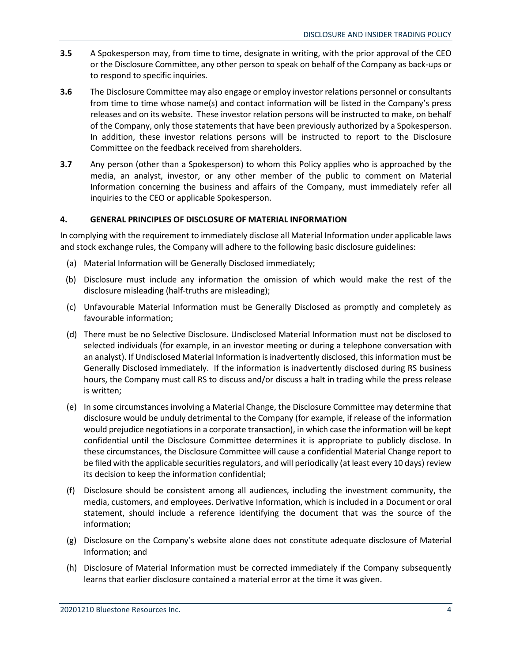- **3.5** A Spokesperson may, from time to time, designate in writing, with the prior approval of the CEO or the Disclosure Committee, any other person to speak on behalf of the Company as back-ups or to respond to specific inquiries.
- **3.6** The Disclosure Committee may also engage or employ investor relations personnel or consultants from time to time whose name(s) and contact information will be listed in the Company's press releases and on its website. These investor relation persons will be instructed to make, on behalf of the Company, only those statements that have been previously authorized by a Spokesperson. In addition, these investor relations persons will be instructed to report to the Disclosure Committee on the feedback received from shareholders.
- **3.7** Any person (other than a Spokesperson) to whom this Policy applies who is approached by the media, an analyst, investor, or any other member of the public to comment on Material Information concerning the business and affairs of the Company, must immediately refer all inquiries to the CEO or applicable Spokesperson.

## **4. GENERAL PRINCIPLES OF DISCLOSURE OF MATERIAL INFORMATION**

In complying with the requirement to immediately disclose all Material Information under applicable laws and stock exchange rules, the Company will adhere to the following basic disclosure guidelines:

- (a) Material Information will be Generally Disclosed immediately;
- (b) Disclosure must include any information the omission of which would make the rest of the disclosure misleading (half-truths are misleading);
- (c) Unfavourable Material Information must be Generally Disclosed as promptly and completely as favourable information;
- (d) There must be no Selective Disclosure. Undisclosed Material Information must not be disclosed to selected individuals (for example, in an investor meeting or during a telephone conversation with an analyst). If Undisclosed Material Information is inadvertently disclosed, this information must be Generally Disclosed immediately. If the information is inadvertently disclosed during RS business hours, the Company must call RS to discuss and/or discuss a halt in trading while the press release is written;
- (e) In some circumstances involving a Material Change, the Disclosure Committee may determine that disclosure would be unduly detrimental to the Company (for example, if release of the information would prejudice negotiations in a corporate transaction), in which case the information will be kept confidential until the Disclosure Committee determines it is appropriate to publicly disclose. In these circumstances, the Disclosure Committee will cause a confidential Material Change report to be filed with the applicable securities regulators, and will periodically (at least every 10 days) review its decision to keep the information confidential;
- (f) Disclosure should be consistent among all audiences, including the investment community, the media, customers, and employees. Derivative Information, which is included in a Document or oral statement, should include a reference identifying the document that was the source of the information;
- (g) Disclosure on the Company's website alone does not constitute adequate disclosure of Material Information; and
- (h) Disclosure of Material Information must be corrected immediately if the Company subsequently learns that earlier disclosure contained a material error at the time it was given.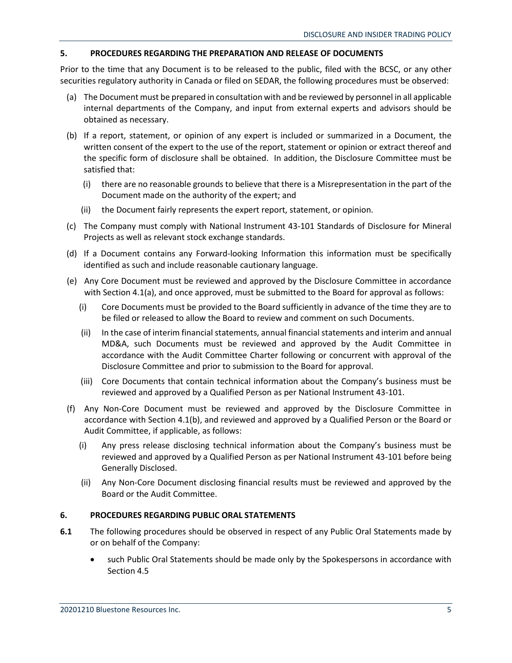## **5. PROCEDURES REGARDING THE PREPARATION AND RELEASE OF DOCUMENTS**

Prior to the time that any Document is to be released to the public, filed with the BCSC, or any other securities regulatory authority in Canada or filed on SEDAR, the following procedures must be observed:

- (a) The Document must be prepared in consultation with and be reviewed by personnel in all applicable internal departments of the Company, and input from external experts and advisors should be obtained as necessary.
- (b) If a report, statement, or opinion of any expert is included or summarized in a Document, the written consent of the expert to the use of the report, statement or opinion or extract thereof and the specific form of disclosure shall be obtained. In addition, the Disclosure Committee must be satisfied that:
	- (i) there are no reasonable grounds to believe that there is a Misrepresentation in the part of the Document made on the authority of the expert; and
	- (ii) the Document fairly represents the expert report, statement, or opinion.
- (c) The Company must comply with National Instrument 43-101 Standards of Disclosure for Mineral Projects as well as relevant stock exchange standards.
- (d) If a Document contains any Forward-looking Information this information must be specifically identified as such and include reasonable cautionary language.
- (e) Any Core Document must be reviewed and approved by the Disclosure Committee in accordance with Section 4.1(a), and once approved, must be submitted to the Board for approval as follows:
	- (i) Core Documents must be provided to the Board sufficiently in advance of the time they are to be filed or released to allow the Board to review and comment on such Documents.
	- (ii) In the case of interim financial statements, annual financial statements and interim and annual MD&A, such Documents must be reviewed and approved by the Audit Committee in accordance with the Audit Committee Charter following or concurrent with approval of the Disclosure Committee and prior to submission to the Board for approval.
	- (iii) Core Documents that contain technical information about the Company's business must be reviewed and approved by a Qualified Person as per National Instrument 43-101.
- (f) Any Non-Core Document must be reviewed and approved by the Disclosure Committee in accordance with Section 4.1(b), and reviewed and approved by a Qualified Person or the Board or Audit Committee, if applicable, as follows:
	- (i) Any press release disclosing technical information about the Company's business must be reviewed and approved by a Qualified Person as per National Instrument 43-101 before being Generally Disclosed.
	- (ii) Any Non-Core Document disclosing financial results must be reviewed and approved by the Board or the Audit Committee.

## **6. PROCEDURES REGARDING PUBLIC ORAL STATEMENTS**

- **6.1** The following procedures should be observed in respect of any Public Oral Statements made by or on behalf of the Company:
	- such Public Oral Statements should be made only by the Spokespersons in accordance with Section 4.5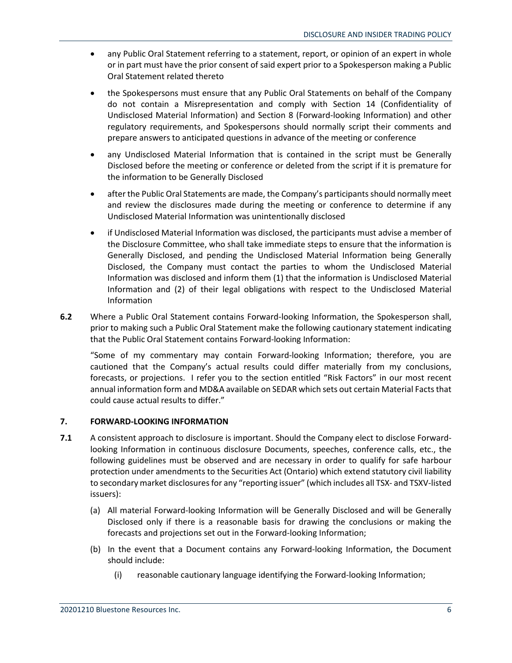- any Public Oral Statement referring to a statement, report, or opinion of an expert in whole or in part must have the prior consent of said expert prior to a Spokesperson making a Public Oral Statement related thereto
- the Spokespersons must ensure that any Public Oral Statements on behalf of the Company do not contain a Misrepresentation and comply with Section 14 (Confidentiality of Undisclosed Material Information) and Section 8 (Forward-looking Information) and other regulatory requirements, and Spokespersons should normally script their comments and prepare answers to anticipated questions in advance of the meeting or conference
- any Undisclosed Material Information that is contained in the script must be Generally Disclosed before the meeting or conference or deleted from the script if it is premature for the information to be Generally Disclosed
- after the Public Oral Statements are made, the Company's participants should normally meet and review the disclosures made during the meeting or conference to determine if any Undisclosed Material Information was unintentionally disclosed
- if Undisclosed Material Information was disclosed, the participants must advise a member of the Disclosure Committee, who shall take immediate steps to ensure that the information is Generally Disclosed, and pending the Undisclosed Material Information being Generally Disclosed, the Company must contact the parties to whom the Undisclosed Material Information was disclosed and inform them (1) that the information is Undisclosed Material Information and (2) of their legal obligations with respect to the Undisclosed Material Information
- **6.2** Where a Public Oral Statement contains Forward-looking Information, the Spokesperson shall, prior to making such a Public Oral Statement make the following cautionary statement indicating that the Public Oral Statement contains Forward-looking Information:

"Some of my commentary may contain Forward-looking Information; therefore, you are cautioned that the Company's actual results could differ materially from my conclusions, forecasts, or projections. I refer you to the section entitled "Risk Factors" in our most recent annual information form and MD&A available on SEDAR which sets out certain Material Facts that could cause actual results to differ."

## **7. FORWARD-LOOKING INFORMATION**

- **7.1** A consistent approach to disclosure is important. Should the Company elect to disclose Forwardlooking Information in continuous disclosure Documents, speeches, conference calls, etc., the following guidelines must be observed and are necessary in order to qualify for safe harbour protection under amendments to the Securities Act (Ontario) which extend statutory civil liability to secondary market disclosures for any "reporting issuer" (which includes all TSX- and TSXV-listed issuers):
	- (a) All material Forward-looking Information will be Generally Disclosed and will be Generally Disclosed only if there is a reasonable basis for drawing the conclusions or making the forecasts and projections set out in the Forward-looking Information;
	- (b) In the event that a Document contains any Forward-looking Information, the Document should include:
		- (i) reasonable cautionary language identifying the Forward-looking Information;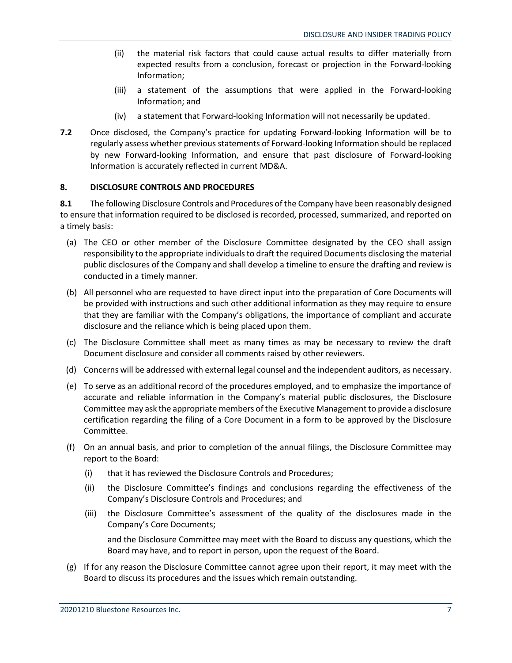- (ii) the material risk factors that could cause actual results to differ materially from expected results from a conclusion, forecast or projection in the Forward-looking Information;
- (iii) a statement of the assumptions that were applied in the Forward-looking Information; and
- (iv) a statement that Forward-looking Information will not necessarily be updated.
- **7.2** Once disclosed, the Company's practice for updating Forward-looking Information will be to regularly assess whether previous statements of Forward-looking Information should be replaced by new Forward-looking Information, and ensure that past disclosure of Forward-looking Information is accurately reflected in current MD&A.

## **8. DISCLOSURE CONTROLS AND PROCEDURES**

**8.1** The following Disclosure Controls and Procedures of the Company have been reasonably designed to ensure that information required to be disclosed is recorded, processed, summarized, and reported on a timely basis:

- (a) The CEO or other member of the Disclosure Committee designated by the CEO shall assign responsibility to the appropriate individuals to draft the required Documents disclosing the material public disclosures of the Company and shall develop a timeline to ensure the drafting and review is conducted in a timely manner.
- (b) All personnel who are requested to have direct input into the preparation of Core Documents will be provided with instructions and such other additional information as they may require to ensure that they are familiar with the Company's obligations, the importance of compliant and accurate disclosure and the reliance which is being placed upon them.
- (c) The Disclosure Committee shall meet as many times as may be necessary to review the draft Document disclosure and consider all comments raised by other reviewers.
- (d) Concerns will be addressed with external legal counsel and the independent auditors, as necessary.
- (e) To serve as an additional record of the procedures employed, and to emphasize the importance of accurate and reliable information in the Company's material public disclosures, the Disclosure Committee may ask the appropriate members of the Executive Management to provide a disclosure certification regarding the filing of a Core Document in a form to be approved by the Disclosure Committee.
- (f) On an annual basis, and prior to completion of the annual filings, the Disclosure Committee may report to the Board:
	- (i) that it has reviewed the Disclosure Controls and Procedures;
	- (ii) the Disclosure Committee's findings and conclusions regarding the effectiveness of the Company's Disclosure Controls and Procedures; and
	- (iii) the Disclosure Committee's assessment of the quality of the disclosures made in the Company's Core Documents;

and the Disclosure Committee may meet with the Board to discuss any questions, which the Board may have, and to report in person, upon the request of the Board.

(g) If for any reason the Disclosure Committee cannot agree upon their report, it may meet with the Board to discuss its procedures and the issues which remain outstanding.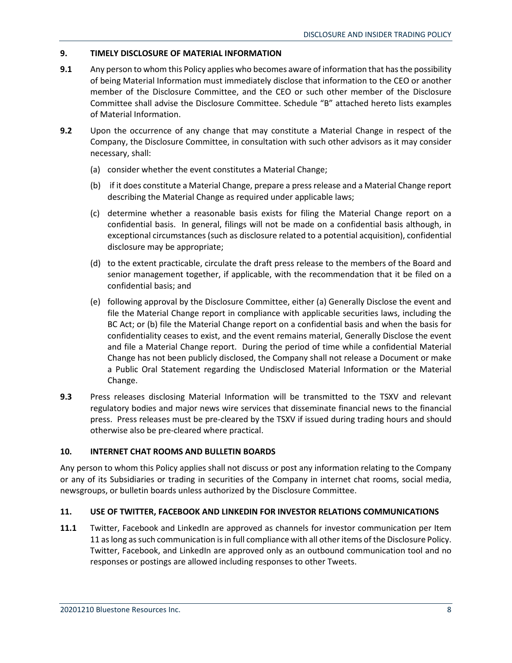## **9. TIMELY DISCLOSURE OF MATERIAL INFORMATION**

- **9.1** Any person to whom this Policy applies who becomes aware of information that has the possibility of being Material Information must immediately disclose that information to the CEO or another member of the Disclosure Committee, and the CEO or such other member of the Disclosure Committee shall advise the Disclosure Committee. Schedule "B" attached hereto lists examples of Material Information.
- **9.2** Upon the occurrence of any change that may constitute a Material Change in respect of the Company, the Disclosure Committee, in consultation with such other advisors as it may consider necessary, shall:
	- (a) consider whether the event constitutes a Material Change;
	- (b) if it does constitute a Material Change, prepare a press release and a Material Change report describing the Material Change as required under applicable laws;
	- (c) determine whether a reasonable basis exists for filing the Material Change report on a confidential basis. In general, filings will not be made on a confidential basis although, in exceptional circumstances (such as disclosure related to a potential acquisition), confidential disclosure may be appropriate;
	- (d) to the extent practicable, circulate the draft press release to the members of the Board and senior management together, if applicable, with the recommendation that it be filed on a confidential basis; and
	- (e) following approval by the Disclosure Committee, either (a) Generally Disclose the event and file the Material Change report in compliance with applicable securities laws, including the BC Act; or (b) file the Material Change report on a confidential basis and when the basis for confidentiality ceases to exist, and the event remains material, Generally Disclose the event and file a Material Change report. During the period of time while a confidential Material Change has not been publicly disclosed, the Company shall not release a Document or make a Public Oral Statement regarding the Undisclosed Material Information or the Material Change.
- **9.3** Press releases disclosing Material Information will be transmitted to the TSXV and relevant regulatory bodies and major news wire services that disseminate financial news to the financial press. Press releases must be pre-cleared by the TSXV if issued during trading hours and should otherwise also be pre-cleared where practical.

## **10. INTERNET CHAT ROOMS AND BULLETIN BOARDS**

Any person to whom this Policy applies shall not discuss or post any information relating to the Company or any of its Subsidiaries or trading in securities of the Company in internet chat rooms, social media, newsgroups, or bulletin boards unless authorized by the Disclosure Committee.

## **11. USE OF TWITTER, FACEBOOK AND LINKEDIN FOR INVESTOR RELATIONS COMMUNICATIONS**

**11.1** Twitter, Facebook and LinkedIn are approved as channels for investor communication per Item 11 as long as such communication is in full compliance with all other items of the Disclosure Policy. Twitter, Facebook, and LinkedIn are approved only as an outbound communication tool and no responses or postings are allowed including responses to other Tweets.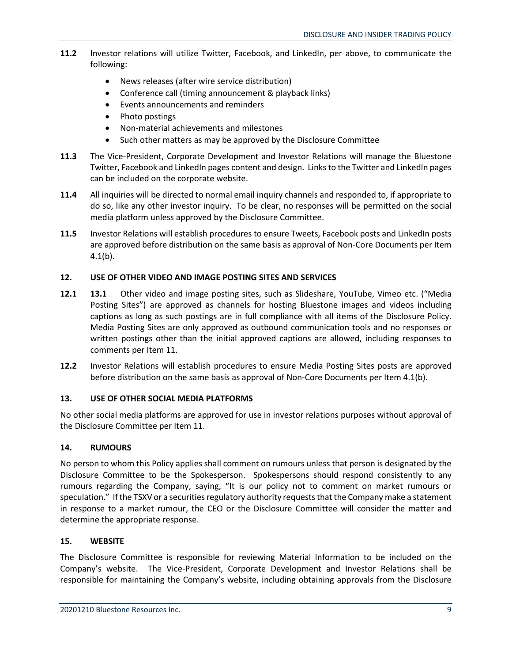- **11.2** Investor relations will utilize Twitter, Facebook, and LinkedIn, per above, to communicate the following:
	- News releases (after wire service distribution)
	- Conference call (timing announcement & playback links)
	- Events announcements and reminders
	- Photo postings
	- Non-material achievements and milestones
	- Such other matters as may be approved by the Disclosure Committee
- **11.3** The Vice-President, Corporate Development and Investor Relations will manage the Bluestone Twitter, Facebook and LinkedIn pages content and design. Links to the Twitter and LinkedIn pages can be included on the corporate website.
- **11.4** All inquiries will be directed to normal email inquiry channels and responded to, if appropriate to do so, like any other investor inquiry. To be clear, no responses will be permitted on the social media platform unless approved by the Disclosure Committee.
- **11.5** Investor Relations will establish procedures to ensure Tweets, Facebook posts and LinkedIn posts are approved before distribution on the same basis as approval of Non-Core Documents per Item  $4.1(b)$ .

## **12. USE OF OTHER VIDEO AND IMAGE POSTING SITES AND SERVICES**

- **12.1 13.1** Other video and image posting sites, such as Slideshare, YouTube, Vimeo etc. ("Media Posting Sites") are approved as channels for hosting Bluestone images and videos including captions as long as such postings are in full compliance with all items of the Disclosure Policy. Media Posting Sites are only approved as outbound communication tools and no responses or written postings other than the initial approved captions are allowed, including responses to comments per Item 11.
- **12.2** Investor Relations will establish procedures to ensure Media Posting Sites posts are approved before distribution on the same basis as approval of Non-Core Documents per Item 4.1(b).

## **13. USE OF OTHER SOCIAL MEDIA PLATFORMS**

No other social media platforms are approved for use in investor relations purposes without approval of the Disclosure Committee per Item 11.

## **14. RUMOURS**

No person to whom this Policy applies shall comment on rumours unless that person is designated by the Disclosure Committee to be the Spokesperson. Spokespersons should respond consistently to any rumours regarding the Company, saying, "It is our policy not to comment on market rumours or speculation." If the TSXV or a securities regulatory authority requests that the Company make a statement in response to a market rumour, the CEO or the Disclosure Committee will consider the matter and determine the appropriate response.

## **15. WEBSITE**

The Disclosure Committee is responsible for reviewing Material Information to be included on the Company's website. The Vice-President, Corporate Development and Investor Relations shall be responsible for maintaining the Company's website, including obtaining approvals from the Disclosure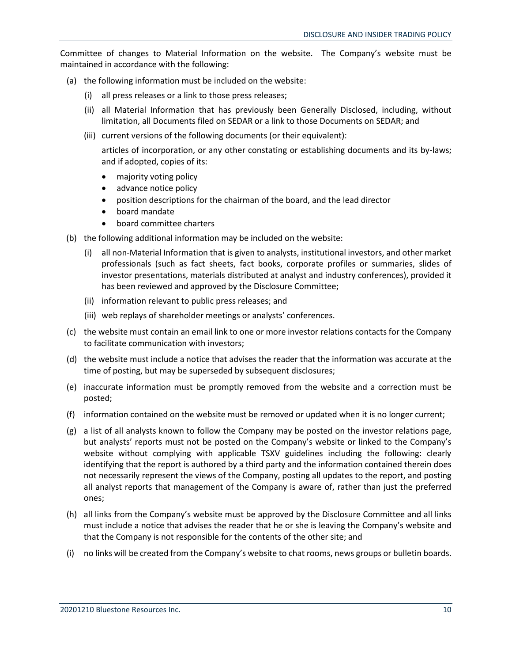Committee of changes to Material Information on the website. The Company's website must be maintained in accordance with the following:

- (a) the following information must be included on the website:
	- (i) all press releases or a link to those press releases;
	- (ii) all Material Information that has previously been Generally Disclosed, including, without limitation, all Documents filed on SEDAR or a link to those Documents on SEDAR; and
	- (iii) current versions of the following documents (or their equivalent):

articles of incorporation, or any other constating or establishing documents and its by-laws; and if adopted, copies of its:

- majority voting policy
- advance notice policy
- position descriptions for the chairman of the board, and the lead director
- board mandate
- board committee charters
- (b) the following additional information may be included on the website:
	- (i) all non-Material Information that is given to analysts, institutional investors, and other market professionals (such as fact sheets, fact books, corporate profiles or summaries, slides of investor presentations, materials distributed at analyst and industry conferences), provided it has been reviewed and approved by the Disclosure Committee;
	- (ii) information relevant to public press releases; and
	- (iii) web replays of shareholder meetings or analysts' conferences.
- (c) the website must contain an email link to one or more investor relations contacts for the Company to facilitate communication with investors;
- (d) the website must include a notice that advises the reader that the information was accurate at the time of posting, but may be superseded by subsequent disclosures;
- (e) inaccurate information must be promptly removed from the website and a correction must be posted;
- (f) information contained on the website must be removed or updated when it is no longer current;
- (g) a list of all analysts known to follow the Company may be posted on the investor relations page, but analysts' reports must not be posted on the Company's website or linked to the Company's website without complying with applicable TSXV guidelines including the following: clearly identifying that the report is authored by a third party and the information contained therein does not necessarily represent the views of the Company, posting all updates to the report, and posting all analyst reports that management of the Company is aware of, rather than just the preferred ones;
- (h) all links from the Company's website must be approved by the Disclosure Committee and all links must include a notice that advises the reader that he or she is leaving the Company's website and that the Company is not responsible for the contents of the other site; and
- (i) no links will be created from the Company's website to chat rooms, news groups or bulletin boards.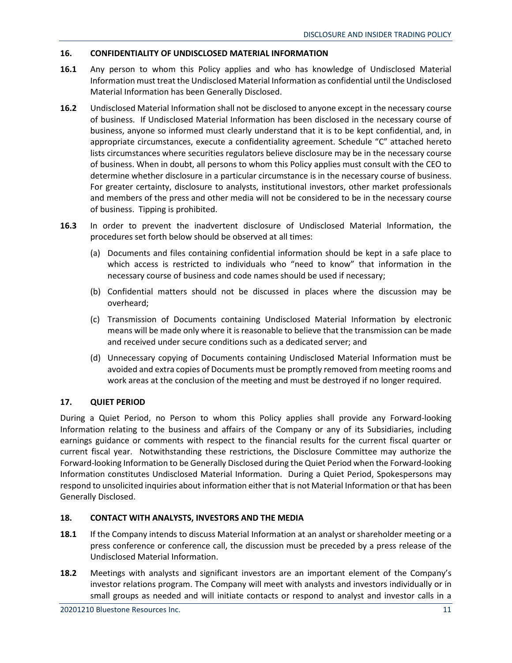## **16. CONFIDENTIALITY OF UNDISCLOSED MATERIAL INFORMATION**

- **16.1** Any person to whom this Policy applies and who has knowledge of Undisclosed Material Information must treat the Undisclosed Material Information as confidential until the Undisclosed Material Information has been Generally Disclosed.
- **16.2** Undisclosed Material Information shall not be disclosed to anyone except in the necessary course of business. If Undisclosed Material Information has been disclosed in the necessary course of business, anyone so informed must clearly understand that it is to be kept confidential, and, in appropriate circumstances, execute a confidentiality agreement. Schedule "C" attached hereto lists circumstances where securities regulators believe disclosure may be in the necessary course of business. When in doubt, all persons to whom this Policy applies must consult with the CEO to determine whether disclosure in a particular circumstance is in the necessary course of business. For greater certainty, disclosure to analysts, institutional investors, other market professionals and members of the press and other media will not be considered to be in the necessary course of business. Tipping is prohibited.
- **16.3** In order to prevent the inadvertent disclosure of Undisclosed Material Information, the procedures set forth below should be observed at all times:
	- (a) Documents and files containing confidential information should be kept in a safe place to which access is restricted to individuals who "need to know" that information in the necessary course of business and code names should be used if necessary;
	- (b) Confidential matters should not be discussed in places where the discussion may be overheard;
	- (c) Transmission of Documents containing Undisclosed Material Information by electronic means will be made only where it is reasonable to believe that the transmission can be made and received under secure conditions such as a dedicated server; and
	- (d) Unnecessary copying of Documents containing Undisclosed Material Information must be avoided and extra copies of Documents must be promptly removed from meeting rooms and work areas at the conclusion of the meeting and must be destroyed if no longer required.

## **17. QUIET PERIOD**

During a Quiet Period, no Person to whom this Policy applies shall provide any Forward-looking Information relating to the business and affairs of the Company or any of its Subsidiaries, including earnings guidance or comments with respect to the financial results for the current fiscal quarter or current fiscal year. Notwithstanding these restrictions, the Disclosure Committee may authorize the Forward-looking Information to be Generally Disclosed during the Quiet Period when the Forward-looking Information constitutes Undisclosed Material Information. During a Quiet Period, Spokespersons may respond to unsolicited inquiries about information either that is not Material Information or that has been Generally Disclosed.

## **18. CONTACT WITH ANALYSTS, INVESTORS AND THE MEDIA**

- **18.1** If the Company intends to discuss Material Information at an analyst or shareholder meeting or a press conference or conference call, the discussion must be preceded by a press release of the Undisclosed Material Information.
- **18.2** Meetings with analysts and significant investors are an important element of the Company's investor relations program. The Company will meet with analysts and investors individually or in small groups as needed and will initiate contacts or respond to analyst and investor calls in a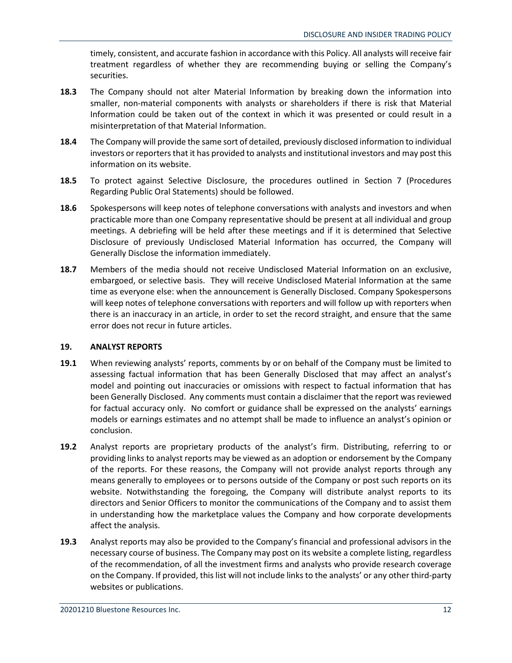timely, consistent, and accurate fashion in accordance with this Policy. All analysts will receive fair treatment regardless of whether they are recommending buying or selling the Company's securities.

- **18.3** The Company should not alter Material Information by breaking down the information into smaller, non-material components with analysts or shareholders if there is risk that Material Information could be taken out of the context in which it was presented or could result in a misinterpretation of that Material Information.
- **18.4** The Company will provide the same sort of detailed, previously disclosed information to individual investors or reporters that it has provided to analysts and institutional investors and may post this information on its website.
- **18.5** To protect against Selective Disclosure, the procedures outlined in Section 7 (Procedures Regarding Public Oral Statements) should be followed.
- **18.6** Spokespersons will keep notes of telephone conversations with analysts and investors and when practicable more than one Company representative should be present at all individual and group meetings. A debriefing will be held after these meetings and if it is determined that Selective Disclosure of previously Undisclosed Material Information has occurred, the Company will Generally Disclose the information immediately.
- **18.7** Members of the media should not receive Undisclosed Material Information on an exclusive, embargoed, or selective basis. They will receive Undisclosed Material Information at the same time as everyone else: when the announcement is Generally Disclosed. Company Spokespersons will keep notes of telephone conversations with reporters and will follow up with reporters when there is an inaccuracy in an article, in order to set the record straight, and ensure that the same error does not recur in future articles.

## **19. ANALYST REPORTS**

- **19.1** When reviewing analysts' reports, comments by or on behalf of the Company must be limited to assessing factual information that has been Generally Disclosed that may affect an analyst's model and pointing out inaccuracies or omissions with respect to factual information that has been Generally Disclosed. Any comments must contain a disclaimer that the report was reviewed for factual accuracy only. No comfort or guidance shall be expressed on the analysts' earnings models or earnings estimates and no attempt shall be made to influence an analyst's opinion or conclusion.
- **19.2** Analyst reports are proprietary products of the analyst's firm. Distributing, referring to or providing links to analyst reports may be viewed as an adoption or endorsement by the Company of the reports. For these reasons, the Company will not provide analyst reports through any means generally to employees or to persons outside of the Company or post such reports on its website. Notwithstanding the foregoing, the Company will distribute analyst reports to its directors and Senior Officers to monitor the communications of the Company and to assist them in understanding how the marketplace values the Company and how corporate developments affect the analysis.
- **19.3** Analyst reports may also be provided to the Company's financial and professional advisors in the necessary course of business. The Company may post on its website a complete listing, regardless of the recommendation, of all the investment firms and analysts who provide research coverage on the Company. If provided, this list will not include links to the analysts' or any other third-party websites or publications.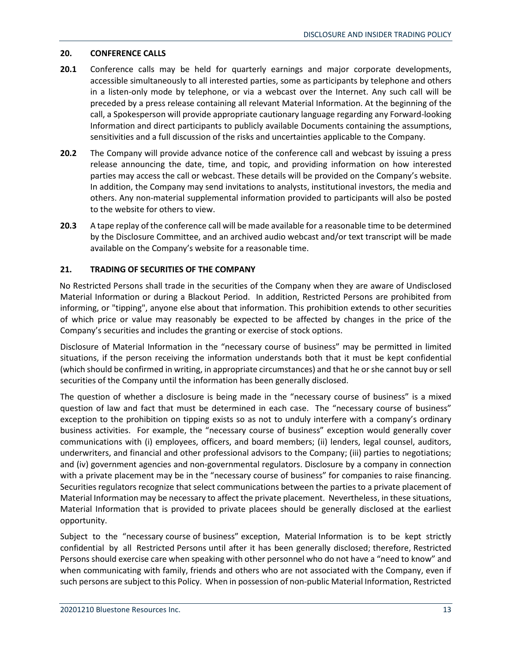## **20. CONFERENCE CALLS**

- **20.1** Conference calls may be held for quarterly earnings and major corporate developments, accessible simultaneously to all interested parties, some as participants by telephone and others in a listen-only mode by telephone, or via a webcast over the Internet. Any such call will be preceded by a press release containing all relevant Material Information. At the beginning of the call, a Spokesperson will provide appropriate cautionary language regarding any Forward-looking Information and direct participants to publicly available Documents containing the assumptions, sensitivities and a full discussion of the risks and uncertainties applicable to the Company.
- **20.2** The Company will provide advance notice of the conference call and webcast by issuing a press release announcing the date, time, and topic, and providing information on how interested parties may access the call or webcast. These details will be provided on the Company's website. In addition, the Company may send invitations to analysts, institutional investors, the media and others. Any non-material supplemental information provided to participants will also be posted to the website for others to view.
- **20.3** A tape replay of the conference call will be made available for a reasonable time to be determined by the Disclosure Committee, and an archived audio webcast and/or text transcript will be made available on the Company's website for a reasonable time.

## **21. TRADING OF SECURITIES OF THE COMPANY**

No Restricted Persons shall trade in the securities of the Company when they are aware of Undisclosed Material Information or during a Blackout Period. In addition, Restricted Persons are prohibited from informing, or "tipping", anyone else about that information. This prohibition extends to other securities of which price or value may reasonably be expected to be affected by changes in the price of the Company's securities and includes the granting or exercise of stock options.

Disclosure of Material Information in the "necessary course of business" may be permitted in limited situations, if the person receiving the information understands both that it must be kept confidential (which should be confirmed in writing, in appropriate circumstances) and that he or she cannot buy or sell securities of the Company until the information has been generally disclosed.

The question of whether a disclosure is being made in the "necessary course of business" is a mixed question of law and fact that must be determined in each case. The "necessary course of business" exception to the prohibition on tipping exists so as not to unduly interfere with a company's ordinary business activities. For example, the "necessary course of business" exception would generally cover communications with (i) employees, officers, and board members; (ii) lenders, legal counsel, auditors, underwriters, and financial and other professional advisors to the Company; (iii) parties to negotiations; and (iv) government agencies and non-governmental regulators. Disclosure by a company in connection with a private placement may be in the "necessary course of business" for companies to raise financing. Securities regulators recognize that select communications between the parties to a private placement of Material Information may be necessary to affect the private placement. Nevertheless, in these situations, Material Information that is provided to private placees should be generally disclosed at the earliest opportunity.

Subject to the "necessary course of business" exception, Material Information is to be kept strictly confidential by all Restricted Persons until after it has been generally disclosed; therefore, Restricted Persons should exercise care when speaking with other personnel who do not have a "need to know" and when communicating with family, friends and others who are not associated with the Company, even if such persons are subject to this Policy. When in possession of non-public Material Information, Restricted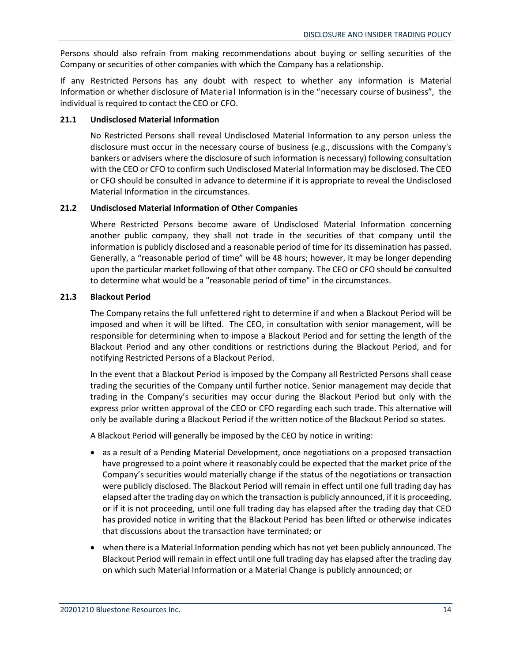Persons should also refrain from making recommendations about buying or selling securities of the Company or securities of other companies with which the Company has a relationship.

If any Restricted Persons has any doubt with respect to whether any information is Material Information or whether disclosure of Material Information is in the "necessary course of business", the individual is required to contact the CEO or CFO.

## **21.1 Undisclosed Material Information**

No Restricted Persons shall reveal Undisclosed Material Information to any person unless the disclosure must occur in the necessary course of business (e.g., discussions with the Company's bankers or advisers where the disclosure of such information is necessary) following consultation with the CEO or CFO to confirm such Undisclosed Material Information may be disclosed. The CEO or CFO should be consulted in advance to determine if it is appropriate to reveal the Undisclosed Material Information in the circumstances.

## **21.2 Undisclosed Material Information of Other Companies**

Where Restricted Persons become aware of Undisclosed Material Information concerning another public company, they shall not trade in the securities of that company until the information is publicly disclosed and a reasonable period of time for its dissemination has passed. Generally, a "reasonable period of time" will be 48 hours; however, it may be longer depending upon the particular market following of that other company. The CEO or CFO should be consulted to determine what would be a "reasonable period of time" in the circumstances.

## **21.3 Blackout Period**

The Company retains the full unfettered right to determine if and when a Blackout Period will be imposed and when it will be lifted. The CEO, in consultation with senior management, will be responsible for determining when to impose a Blackout Period and for setting the length of the Blackout Period and any other conditions or restrictions during the Blackout Period, and for notifying Restricted Persons of a Blackout Period.

In the event that a Blackout Period is imposed by the Company all Restricted Persons shall cease trading the securities of the Company until further notice. Senior management may decide that trading in the Company's securities may occur during the Blackout Period but only with the express prior written approval of the CEO or CFO regarding each such trade. This alternative will only be available during a Blackout Period if the written notice of the Blackout Period so states.

A Blackout Period will generally be imposed by the CEO by notice in writing:

- as a result of a Pending Material Development, once negotiations on a proposed transaction have progressed to a point where it reasonably could be expected that the market price of the Company's securities would materially change if the status of the negotiations or transaction were publicly disclosed. The Blackout Period will remain in effect until one full trading day has elapsed after the trading day on which the transaction is publicly announced, if it is proceeding, or if it is not proceeding, until one full trading day has elapsed after the trading day that CEO has provided notice in writing that the Blackout Period has been lifted or otherwise indicates that discussions about the transaction have terminated; or
- when there is a Material Information pending which has not yet been publicly announced. The Blackout Period will remain in effect until one full trading day has elapsed after the trading day on which such Material Information or a Material Change is publicly announced; or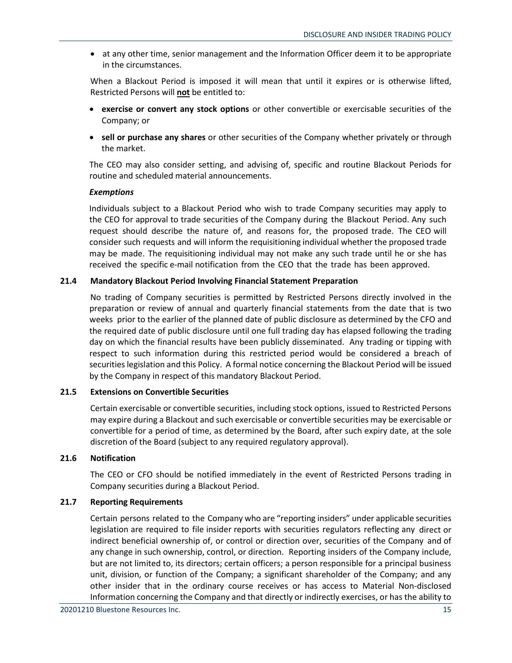• at any other time, senior management and the Information Officer deem it to be appropriate in the circumstances.

When a Blackout Period is imposed it will mean that until it expires or is otherwise lifted, Restricted Persons will **not** be entitled to:

- **exercise or convert any stock options** or other convertible or exercisable securities of the Company; or
- **sell or purchase any shares** or other securities of the Company whether privately or through the market.

The CEO may also consider setting, and advising of, specific and routine Blackout Periods for routine and scheduled material announcements.

#### *Exemptions*

Individuals subject to a Blackout Period who wish to trade Company securities may apply to the CEO for approval to trade securities of the Company during the Blackout Period. Any such request should describe the nature of, and reasons for, the proposed trade. The CEO will consider such requests and will inform the requisitioning individual whether the proposed trade may be made. The requisitioning individual may not make any such trade until he or she has received the specific e-mail notification from the CEO that the trade has been approved.

## **21.4 Mandatory Blackout Period Involving Financial Statement Preparation**

No trading of Company securities is permitted by Restricted Persons directly involved in the preparation or review of annual and quarterly financial statements from the date that is two weeks prior to the earlier of the planned date of public disclosure as determined by the CFO and the required date of public disclosure until one full trading day has elapsed following the trading day on which the financial results have been publicly disseminated. Any trading or tipping with respect to such information during this restricted period would be considered a breach of securities legislation and this Policy. A formal notice concerning the Blackout Period will be issued by the Company in respect of this mandatory Blackout Period.

## **21.5 Extensions on Convertible Securities**

Certain exercisable or convertible securities, including stock options, issued to Restricted Persons may expire during a Blackout and such exercisable or convertible securities may be exercisable or convertible for a period of time, as determined by the Board, after such expiry date, at the sole discretion of the Board (subject to any required regulatory approval).

## **21.6 Notification**

The CEO or CFO should be notified immediately in the event of Restricted Persons trading in Company securities during a Blackout Period.

## **21.7 Reporting Requirements**

Certain persons related to the Company who are "reporting insiders" under applicable securities legislation are required to file insider reports with securities regulators reflecting any direct or indirect beneficial ownership of, or control or direction over, securities of the Company and of any change in such ownership, control, or direction. Reporting insiders of the Company include, but are not limited to, its directors; certain officers; a person responsible for a principal business unit, division, or function of the Company; a significant shareholder of the Company; and any other insider that in the ordinary course receives or has access to Material Non-disclosed Information concerning the Company and that directly or indirectly exercises, or has the ability to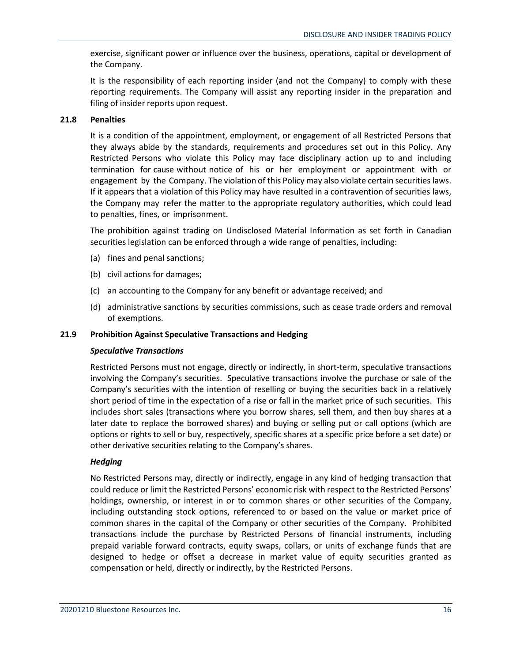exercise, significant power or influence over the business, operations, capital or development of the Company.

It is the responsibility of each reporting insider (and not the Company) to comply with these reporting requirements. The Company will assist any reporting insider in the preparation and filing of insider reports upon request.

## **21.8 Penalties**

It is a condition of the appointment, employment, or engagement of all Restricted Persons that they always abide by the standards, requirements and procedures set out in this Policy. Any Restricted Persons who violate this Policy may face disciplinary action up to and including termination for cause without notice of his or her employment or appointment with or engagement by the Company. The violation of this Policy may also violate certain securities laws. If it appears that a violation of this Policy may have resulted in a contravention of securities laws, the Company may refer the matter to the appropriate regulatory authorities, which could lead to penalties, fines, or imprisonment.

The prohibition against trading on Undisclosed Material Information as set forth in Canadian securities legislation can be enforced through a wide range of penalties, including:

- (a) fines and penal sanctions;
- (b) civil actions for damages;
- (c) an accounting to the Company for any benefit or advantage received; and
- (d) administrative sanctions by securities commissions, such as cease trade orders and removal of exemptions.

## **21.9 Prohibition Against Speculative Transactions and Hedging**

## *Speculative Transactions*

Restricted Persons must not engage, directly or indirectly, in short-term, speculative transactions involving the Company's securities. Speculative transactions involve the purchase or sale of the Company's securities with the intention of reselling or buying the securities back in a relatively short period of time in the expectation of a rise or fall in the market price of such securities. This includes short sales (transactions where you borrow shares, sell them, and then buy shares at a later date to replace the borrowed shares) and buying or selling put or call options (which are options or rights to sell or buy, respectively, specific shares at a specific price before a set date) or other derivative securities relating to the Company's shares.

## *Hedging*

No Restricted Persons may, directly or indirectly, engage in any kind of hedging transaction that could reduce or limit the Restricted Persons' economic risk with respect to the Restricted Persons' holdings, ownership, or interest in or to common shares or other securities of the Company, including outstanding stock options, referenced to or based on the value or market price of common shares in the capital of the Company or other securities of the Company. Prohibited transactions include the purchase by Restricted Persons of financial instruments, including prepaid variable forward contracts, equity swaps, collars, or units of exchange funds that are designed to hedge or offset a decrease in market value of equity securities granted as compensation or held, directly or indirectly, by the Restricted Persons.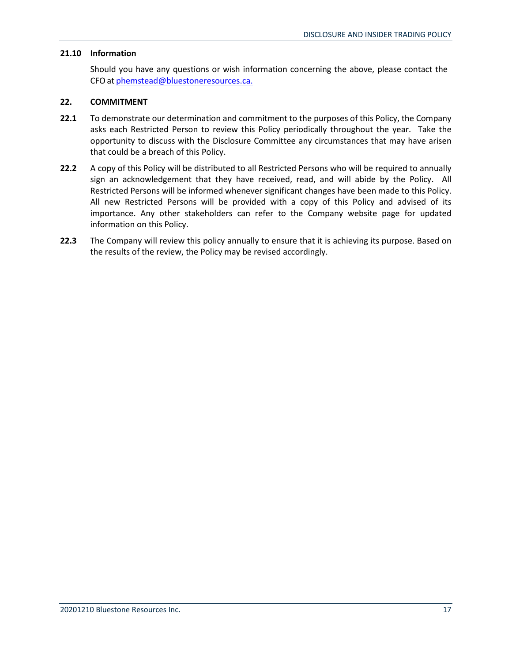## **21.10 Information**

Should you have any questions or wish information concerning the above, please contact the CFOat [phemstead@bluestoneresources.ca.](mailto:phemstead@bluestoneresources.ca.)

## **22. COMMITMENT**

- **22.1** To demonstrate our determination and commitment to the purposes of this Policy, the Company asks each Restricted Person to review this Policy periodically throughout the year. Take the opportunity to discuss with the Disclosure Committee any circumstances that may have arisen that could be a breach of this Policy.
- **22.2** A copy of this Policy will be distributed to all Restricted Persons who will be required to annually sign an acknowledgement that they have received, read, and will abide by the Policy. All Restricted Persons will be informed whenever significant changes have been made to this Policy. All new Restricted Persons will be provided with a copy of this Policy and advised of its importance. Any other stakeholders can refer to the Company website page for updated information on this Policy.
- **22.3** The Company will review this policy annually to ensure that it is achieving its purpose. Based on the results of the review, the Policy may be revised accordingly.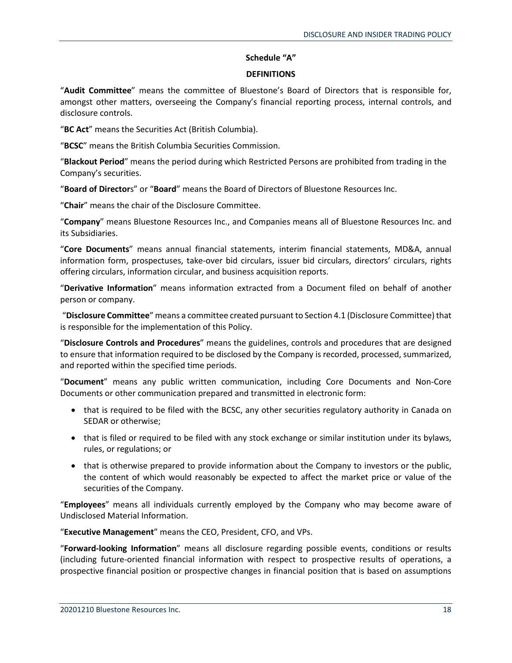## **Schedule "A"**

## **DEFINITIONS**

"**Audit Committee**" means the committee of Bluestone's Board of Directors that is responsible for, amongst other matters, overseeing the Company's financial reporting process, internal controls, and disclosure controls.

"**BC Act**" means the Securities Act (British Columbia).

"**BCSC**" means the British Columbia Securities Commission.

"**Blackout Period**" means the period during which Restricted Persons are prohibited from trading in the Company's securities.

"**Board of Director**s" or "**Board**" means the Board of Directors of Bluestone Resources Inc.

"**Chair**" means the chair of the Disclosure Committee.

"**Company**" means Bluestone Resources Inc., and Companies means all of Bluestone Resources Inc. and its Subsidiaries.

"**Core Documents**" means annual financial statements, interim financial statements, MD&A, annual information form, prospectuses, take-over bid circulars, issuer bid circulars, directors' circulars, rights offering circulars, information circular, and business acquisition reports.

"**Derivative Information**" means information extracted from a Document filed on behalf of another person or company.

"**Disclosure Committee**" means a committee created pursuant to Section 4.1 (Disclosure Committee) that is responsible for the implementation of this Policy.

"**Disclosure Controls and Procedures**" means the guidelines, controls and procedures that are designed to ensure that information required to be disclosed by the Company is recorded, processed, summarized, and reported within the specified time periods.

"**Document**" means any public written communication, including Core Documents and Non-Core Documents or other communication prepared and transmitted in electronic form:

- that is required to be filed with the BCSC, any other securities regulatory authority in Canada on SEDAR or otherwise;
- that is filed or required to be filed with any stock exchange or similar institution under its bylaws, rules, or regulations; or
- that is otherwise prepared to provide information about the Company to investors or the public, the content of which would reasonably be expected to affect the market price or value of the securities of the Company.

"**Employees**" means all individuals currently employed by the Company who may become aware of Undisclosed Material Information.

"**Executive Management**" means the CEO, President, CFO, and VPs.

"**Forward-looking Information**" means all disclosure regarding possible events, conditions or results (including future-oriented financial information with respect to prospective results of operations, a prospective financial position or prospective changes in financial position that is based on assumptions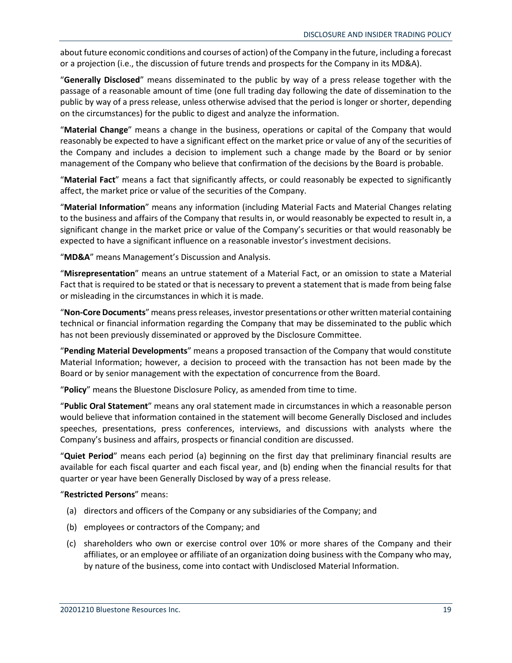about future economic conditions and courses of action) of the Company in the future, including a forecast or a projection (i.e., the discussion of future trends and prospects for the Company in its MD&A).

"**Generally Disclosed**" means disseminated to the public by way of a press release together with the passage of a reasonable amount of time (one full trading day following the date of dissemination to the public by way of a press release, unless otherwise advised that the period is longer or shorter, depending on the circumstances) for the public to digest and analyze the information.

"**Material Change**" means a change in the business, operations or capital of the Company that would reasonably be expected to have a significant effect on the market price or value of any of the securities of the Company and includes a decision to implement such a change made by the Board or by senior management of the Company who believe that confirmation of the decisions by the Board is probable.

"**Material Fact**" means a fact that significantly affects, or could reasonably be expected to significantly affect, the market price or value of the securities of the Company.

"**Material Information**" means any information (including Material Facts and Material Changes relating to the business and affairs of the Company that results in, or would reasonably be expected to result in, a significant change in the market price or value of the Company's securities or that would reasonably be expected to have a significant influence on a reasonable investor's investment decisions.

"**MD&A**" means Management's Discussion and Analysis.

"**Misrepresentation**" means an untrue statement of a Material Fact, or an omission to state a Material Fact that is required to be stated or that is necessary to prevent a statement that is made from being false or misleading in the circumstances in which it is made.

"**Non-Core Documents**" means press releases, investor presentations or other written material containing technical or financial information regarding the Company that may be disseminated to the public which has not been previously disseminated or approved by the Disclosure Committee.

"**Pending Material Developments**" means a proposed transaction of the Company that would constitute Material Information; however, a decision to proceed with the transaction has not been made by the Board or by senior management with the expectation of concurrence from the Board.

"**Policy**" means the Bluestone Disclosure Policy, as amended from time to time.

"**Public Oral Statement**" means any oral statement made in circumstances in which a reasonable person would believe that information contained in the statement will become Generally Disclosed and includes speeches, presentations, press conferences, interviews, and discussions with analysts where the Company's business and affairs, prospects or financial condition are discussed.

"**Quiet Period**" means each period (a) beginning on the first day that preliminary financial results are available for each fiscal quarter and each fiscal year, and (b) ending when the financial results for that quarter or year have been Generally Disclosed by way of a press release.

"**Restricted Persons**" means:

- (a) directors and officers of the Company or any subsidiaries of the Company; and
- (b) employees or contractors of the Company; and
- (c) shareholders who own or exercise control over 10% or more shares of the Company and their affiliates, or an employee or affiliate of an organization doing business with the Company who may, by nature of the business, come into contact with Undisclosed Material Information.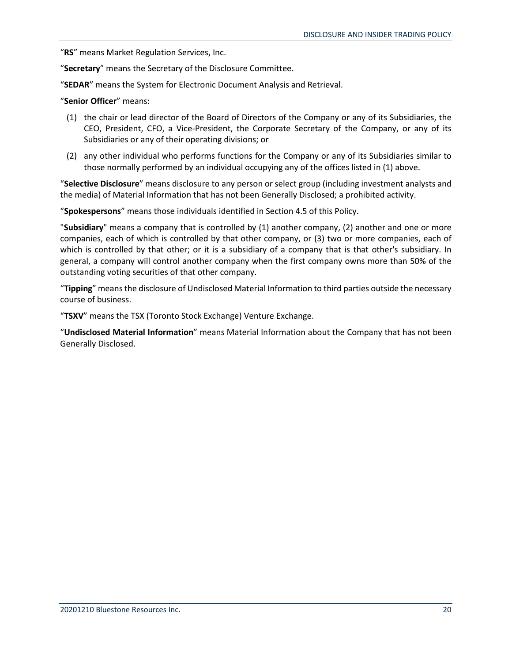"**RS**" means Market Regulation Services, Inc.

"**Secretary**" means the Secretary of the Disclosure Committee.

"**SEDAR**" means the System for Electronic Document Analysis and Retrieval.

#### "**Senior Officer**" means:

- (1) the chair or lead director of the Board of Directors of the Company or any of its Subsidiaries, the CEO, President, CFO, a Vice-President, the Corporate Secretary of the Company, or any of its Subsidiaries or any of their operating divisions; or
- (2) any other individual who performs functions for the Company or any of its Subsidiaries similar to those normally performed by an individual occupying any of the offices listed in (1) above.

"**Selective Disclosure**" means disclosure to any person or select group (including investment analysts and the media) of Material Information that has not been Generally Disclosed; a prohibited activity.

"**Spokespersons**" means those individuals identified in Section 4.5 of this Policy.

"**Subsidiary**" means a company that is controlled by (1) another company, (2) another and one or more companies, each of which is controlled by that other company, or (3) two or more companies, each of which is controlled by that other; or it is a subsidiary of a company that is that other's subsidiary. In general, a company will control another company when the first company owns more than 50% of the outstanding voting securities of that other company.

"**Tipping**" means the disclosure of Undisclosed Material Information to third parties outside the necessary course of business.

"**TSXV**" means the TSX (Toronto Stock Exchange) Venture Exchange.

"**Undisclosed Material Information**" means Material Information about the Company that has not been Generally Disclosed.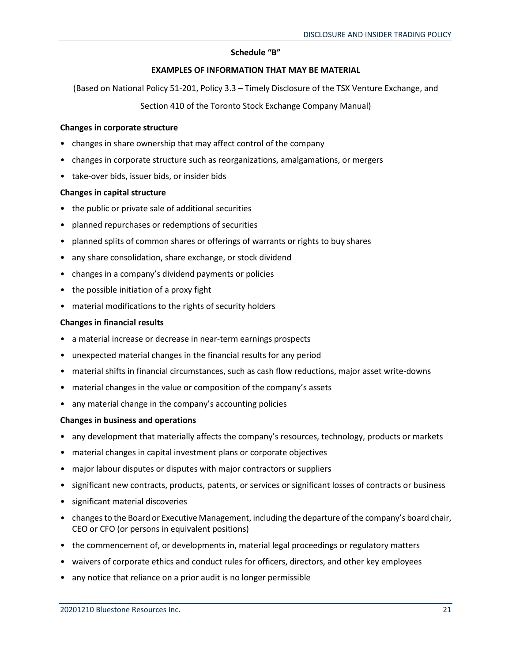## **Schedule "B"**

## **EXAMPLES OF INFORMATION THAT MAY BE MATERIAL**

(Based on National Policy 51-201, Policy 3.3 – Timely Disclosure of the TSX Venture Exchange, and

Section 410 of the Toronto Stock Exchange Company Manual)

#### **Changes in corporate structure**

- changes in share ownership that may affect control of the company
- changes in corporate structure such as reorganizations, amalgamations, or mergers
- take-over bids, issuer bids, or insider bids

## **Changes in capital structure**

- the public or private sale of additional securities
- planned repurchases or redemptions of securities
- planned splits of common shares or offerings of warrants or rights to buy shares
- any share consolidation, share exchange, or stock dividend
- changes in a company's dividend payments or policies
- the possible initiation of a proxy fight
- material modifications to the rights of security holders

## **Changes in financial results**

- a material increase or decrease in near-term earnings prospects
- unexpected material changes in the financial results for any period
- material shifts in financial circumstances, such as cash flow reductions, major asset write-downs
- material changes in the value or composition of the company's assets
- any material change in the company's accounting policies

## **Changes in business and operations**

- any development that materially affects the company's resources, technology, products or markets
- material changes in capital investment plans or corporate objectives
- major labour disputes or disputes with major contractors or suppliers
- significant new contracts, products, patents, or services or significant losses of contracts or business
- significant material discoveries
- changes to the Board or Executive Management, including the departure of the company's board chair, CEO or CFO (or persons in equivalent positions)
- the commencement of, or developments in, material legal proceedings or regulatory matters
- waivers of corporate ethics and conduct rules for officers, directors, and other key employees
- any notice that reliance on a prior audit is no longer permissible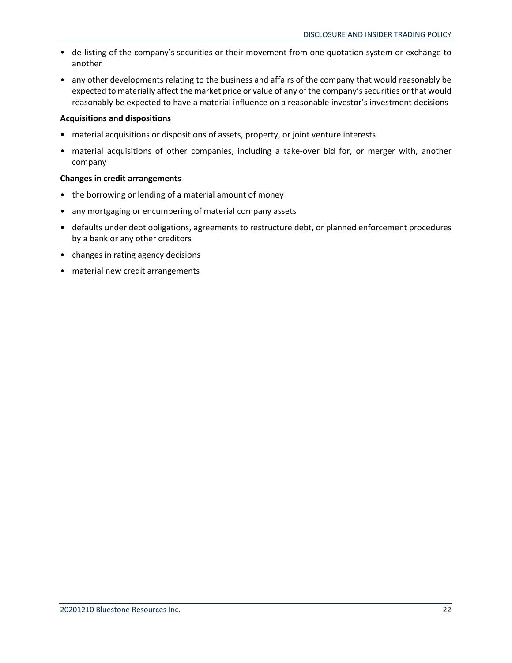- de-listing of the company's securities or their movement from one quotation system or exchange to another
- any other developments relating to the business and affairs of the company that would reasonably be expected to materially affect the market price or value of any of the company's securities or that would reasonably be expected to have a material influence on a reasonable investor's investment decisions

## **Acquisitions and dispositions**

- material acquisitions or dispositions of assets, property, or joint venture interests
- material acquisitions of other companies, including a take-over bid for, or merger with, another company

## **Changes in credit arrangements**

- the borrowing or lending of a material amount of money
- any mortgaging or encumbering of material company assets
- defaults under debt obligations, agreements to restructure debt, or planned enforcement procedures by a bank or any other creditors
- changes in rating agency decisions
- material new credit arrangements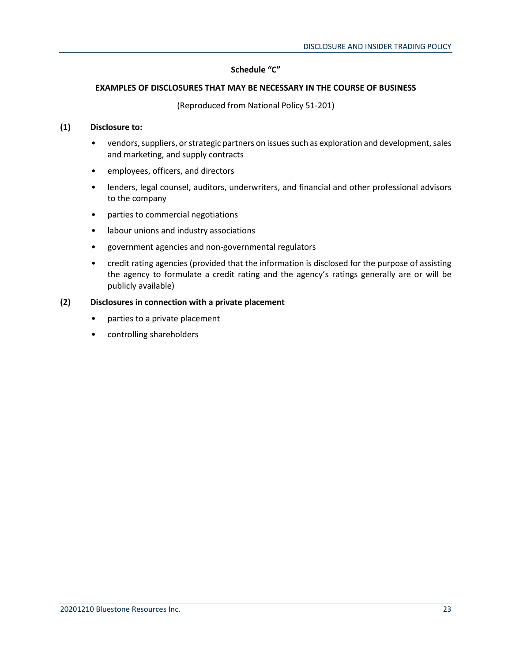## **Schedule "C"**

## **EXAMPLES OF DISCLOSURES THAT MAY BE NECESSARY IN THE COURSE OF BUSINESS**

(Reproduced from National Policy 51-201)

## **(1) Disclosure to:**

- vendors, suppliers, or strategic partners on issues such as exploration and development, sales and marketing, and supply contracts
- employees, officers, and directors
- lenders, legal counsel, auditors, underwriters, and financial and other professional advisors to the company
- parties to commercial negotiations
- labour unions and industry associations
- government agencies and non-governmental regulators
- credit rating agencies (provided that the information is disclosed for the purpose of assisting the agency to formulate a credit rating and the agency's ratings generally are or will be publicly available)

## **(2) Disclosures in connection with a private placement**

- parties to a private placement
- controlling shareholders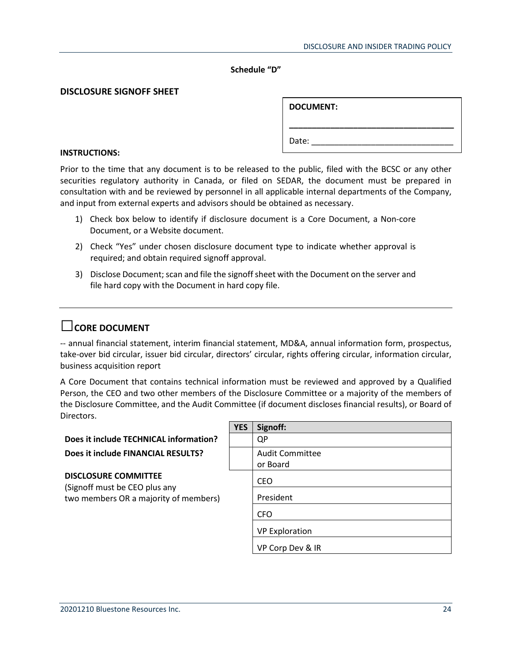#### **Schedule "D"**

#### **DISCLOSURE SIGNOFF SHEET**

|       | <b>DOCUMENT:</b> |  |  |
|-------|------------------|--|--|
| Date: |                  |  |  |

#### **INSTRUCTIONS:**

Prior to the time that any document is to be released to the public, filed with the BCSC or any other securities regulatory authority in Canada, or filed on SEDAR, the document must be prepared in consultation with and be reviewed by personnel in all applicable internal departments of the Company, and input from external experts and advisors should be obtained as necessary.

- 1) Check box below to identify if disclosure document is a Core Document, a Non-core Document, or a Website document.
- 2) Check "Yes" under chosen disclosure document type to indicate whether approval is required; and obtain required signoff approval.
- 3) Disclose Document; scan and file the signoff sheet with the Document on the server and file hard copy with the Document in hard copy file.

## **□CORE DOCUMENT**

-- annual financial statement, interim financial statement, MD&A, annual information form, prospectus, take-over bid circular, issuer bid circular, directors' circular, rights offering circular, information circular, business acquisition report

A Core Document that contains technical information must be reviewed and approved by a Qualified Person, the CEO and two other members of the Disclosure Committee or a majority of the members of the Disclosure Committee, and the Audit Committee (if document discloses financial results), or Board of Directors.

|                                                              | <b>YES</b> | Signoff:               |
|--------------------------------------------------------------|------------|------------------------|
| Does it include TECHNICAL information?                       |            | QP                     |
| Does it include FINANCIAL RESULTS?                           |            | <b>Audit Committee</b> |
|                                                              |            | or Board               |
| <b>DISCLOSURE COMMITTEE</b><br>(Signoff must be CEO plus any |            | <b>CEO</b>             |
| two members OR a majority of members)                        |            | President              |
|                                                              |            | <b>CFO</b>             |
|                                                              |            | <b>VP Exploration</b>  |
|                                                              |            | VP Corp Dev & IR       |
|                                                              |            |                        |